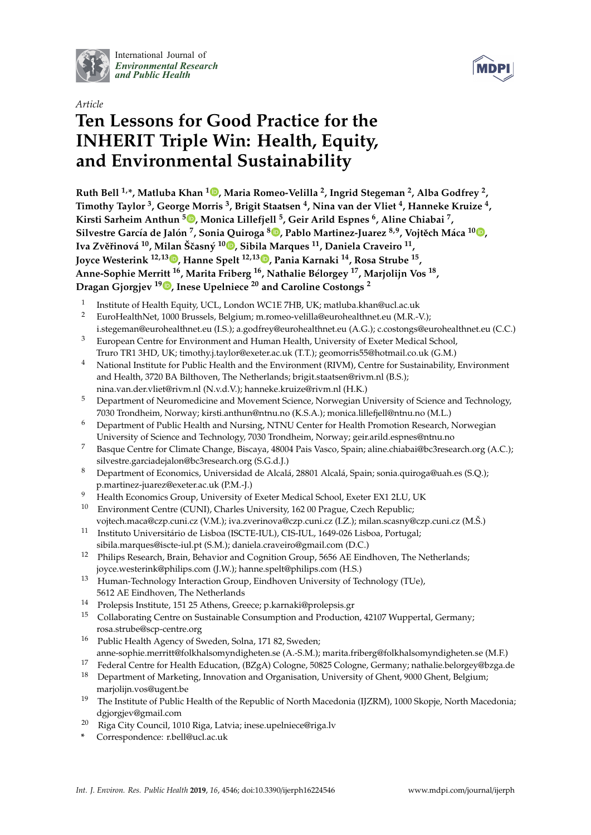

International Journal of *[Environmental Research](http://www.mdpi.com/journal/ijerph) and Public Health*



# *Article* **Ten Lessons for Good Practice for the INHERIT Triple Win: Health, Equity, and Environmental Sustainability**

**Ruth Bell 1,\*, Matluba Khan <sup>1</sup> [,](https://orcid.org/0000-0002-5546-1870) Maria Romeo-Velilla <sup>2</sup> , Ingrid Stegeman <sup>2</sup> , Alba Godfrey <sup>2</sup> , Timothy Taylor <sup>3</sup> , George Morris <sup>3</sup> , Brigit Staatsen <sup>4</sup> , Nina van der Vliet <sup>4</sup> , Hanneke Kruize <sup>4</sup> , Kirsti Sarheim Anthun <sup>5</sup> [,](https://orcid.org/0000-0002-5884-5351) Monica Lillefjell <sup>5</sup> , Geir Arild Espnes <sup>6</sup> , Aline Chiabai <sup>7</sup> , Silvestre García de Jalón 7 , Sonia Quiroga <sup>8</sup> [,](https://orcid.org/0000-0002-4269-5053) Pablo Martinez-Juarez 8,9, Vojt ˇech Máca <sup>10</sup> [,](https://orcid.org/0000-0001-7069-443X) Iva Zv ˇeˇrinová <sup>10</sup>, Milan Ўcasný <sup>10</sup> [,](https://orcid.org/0000-0001-5040-1281) Sibila Marques <sup>11</sup>, Daniela Craveiro <sup>11</sup> , Joyce Westerink 12,13 [,](https://orcid.org/0000-0002-2391-0387) Hanne Spelt 12,13 [,](https://orcid.org/0000-0002-5304-4109) Pania Karnaki <sup>14</sup>, Rosa Strube <sup>15</sup> , Anne-Sophie Merritt <sup>16</sup>, Marita Friberg <sup>16</sup>, Nathalie Bélorgey <sup>17</sup>, Marjolijn Vos <sup>18</sup> , Dragan Gjorgjev <sup>19</sup> [,](https://orcid.org/0000-0002-5631-8726) Inese Upelniece <sup>20</sup> and Caroline Costongs <sup>2</sup>**

- 1 Institute of Health Equity, UCL, London WC1E 7HB, UK; matluba.khan@ucl.ac.uk
- <sup>2</sup> EuroHealthNet, 1000 Brussels, Belgium; m.romeo-velilla@eurohealthnet.eu (M.R.-V.); i.stegeman@eurohealthnet.eu (I.S.); a.godfrey@eurohealthnet.eu (A.G.); c.costongs@eurohealthnet.eu (C.C.)
- <sup>3</sup> European Centre for Environment and Human Health, University of Exeter Medical School, Truro TR1 3HD, UK; timothy.j.taylor@exeter.ac.uk (T.T.); geomorris55@hotmail.co.uk (G.M.)
- <sup>4</sup> National Institute for Public Health and the Environment (RIVM), Centre for Sustainability, Environment and Health, 3720 BA Bilthoven, The Netherlands; brigit.staatsen@rivm.nl (B.S.); nina.van.der.vliet@rivm.nl (N.v.d.V.); hanneke.kruize@rivm.nl (H.K.)
- <sup>5</sup> Department of Neuromedicine and Movement Science, Norwegian University of Science and Technology, 7030 Trondheim, Norway; kirsti.anthun@ntnu.no (K.S.A.); monica.lillefjell@ntnu.no (M.L.)
- <sup>6</sup> Department of Public Health and Nursing, NTNU Center for Health Promotion Research, Norwegian University of Science and Technology, 7030 Trondheim, Norway; geir.arild.espnes@ntnu.no
- <sup>7</sup> Basque Centre for Climate Change, Biscaya, 48004 Pais Vasco, Spain; aline.chiabai@bc3research.org (A.C.); silvestre.garciadejalon@bc3research.org (S.G.d.J.)
- <sup>8</sup> Department of Economics, Universidad de Alcalá, 28801 Alcalá, Spain; sonia.quiroga@uah.es (S.Q.); p.martinez-juarez@exeter.ac.uk (P.M.-J.)
- <sup>9</sup> Health Economics Group, University of Exeter Medical School, Exeter EX1 2LU, UK<br><sup>10</sup> Environment Contre (CLNI), Charles University, 162.00 Brazye, Crash Banyhlia.
- <sup>10</sup> Environment Centre (CUNI), Charles University, 162 00 Prague, Czech Republic; vojtech.maca@czp.cuni.cz (V.M.); iva.zverinova@czp.cuni.cz (I.Z.); milan.scasny@czp.cuni.cz (M.Š.)
- <sup>11</sup> Instituto Universitário de Lisboa (ISCTE-IUL), CIS-IUL, 1649-026 Lisboa, Portugal; sibila.marques@iscte-iul.pt (S.M.); daniela.craveiro@gmail.com (D.C.)
- <sup>12</sup> Philips Research, Brain, Behavior and Cognition Group, 5656 AE Eindhoven, The Netherlands; joyce.westerink@philips.com (J.W.); hanne.spelt@philips.com (H.S.)
- <sup>13</sup> Human-Technology Interaction Group, Eindhoven University of Technology (TUe), 5612 AE Eindhoven, The Netherlands
- <sup>14</sup> Prolepsis Institute, 151 25 Athens, Greece; p.karnaki@prolepsis.gr
- <sup>15</sup> Collaborating Centre on Sustainable Consumption and Production, 42107 Wuppertal, Germany; rosa.strube@scp-centre.org
- <sup>16</sup> Public Health Agency of Sweden, Solna, 171 82, Sweden; anne-sophie.merritt@folkhalsomyndigheten.se (A.-S.M.); marita.friberg@folkhalsomyndigheten.se (M.F.)
- <sup>17</sup> Federal Centre for Health Education, (BZgA) Cologne, 50825 Cologne, Germany; nathalie.belorgey@bzga.de
- <sup>18</sup> Department of Marketing, Innovation and Organisation, University of Ghent, 9000 Ghent, Belgium; marjolijn.vos@ugent.be
- <sup>19</sup> The Institute of Public Health of the Republic of North Macedonia (IJZRM), 1000 Skopje, North Macedonia; dgjorgjev@gmail.com
- <sup>20</sup> Riga City Council, 1010 Riga, Latvia; inese.upelniece@riga.lv
- **\*** Correspondence: r.bell@ucl.ac.uk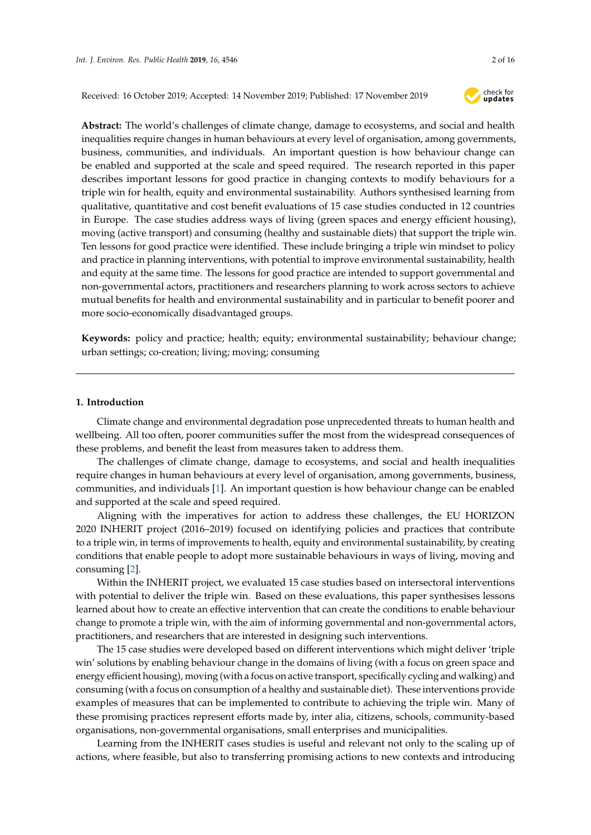Received: 16 October 2019; Accepted: 14 November 2019; Published: 17 November 2019



**Abstract:** The world's challenges of climate change, damage to ecosystems, and social and health inequalities require changes in human behaviours at every level of organisation, among governments, business, communities, and individuals. An important question is how behaviour change can be enabled and supported at the scale and speed required. The research reported in this paper describes important lessons for good practice in changing contexts to modify behaviours for a triple win for health, equity and environmental sustainability. Authors synthesised learning from qualitative, quantitative and cost benefit evaluations of 15 case studies conducted in 12 countries in Europe. The case studies address ways of living (green spaces and energy efficient housing), moving (active transport) and consuming (healthy and sustainable diets) that support the triple win. Ten lessons for good practice were identified. These include bringing a triple win mindset to policy and practice in planning interventions, with potential to improve environmental sustainability, health and equity at the same time. The lessons for good practice are intended to support governmental and non-governmental actors, practitioners and researchers planning to work across sectors to achieve mutual benefits for health and environmental sustainability and in particular to benefit poorer and more socio-economically disadvantaged groups.

**Keywords:** policy and practice; health; equity; environmental sustainability; behaviour change; urban settings; co-creation; living; moving; consuming

## **1. Introduction**

Climate change and environmental degradation pose unprecedented threats to human health and wellbeing. All too often, poorer communities suffer the most from the widespread consequences of these problems, and benefit the least from measures taken to address them.

The challenges of climate change, damage to ecosystems, and social and health inequalities require changes in human behaviours at every level of organisation, among governments, business, communities, and individuals [\[1\]](#page-13-0). An important question is how behaviour change can be enabled and supported at the scale and speed required.

Aligning with the imperatives for action to address these challenges, the EU HORIZON 2020 INHERIT project (2016–2019) focused on identifying policies and practices that contribute to a triple win, in terms of improvements to health, equity and environmental sustainability, by creating conditions that enable people to adopt more sustainable behaviours in ways of living, moving and consuming [\[2\]](#page-14-0).

Within the INHERIT project, we evaluated 15 case studies based on intersectoral interventions with potential to deliver the triple win. Based on these evaluations, this paper synthesises lessons learned about how to create an effective intervention that can create the conditions to enable behaviour change to promote a triple win, with the aim of informing governmental and non-governmental actors, practitioners, and researchers that are interested in designing such interventions.

The 15 case studies were developed based on different interventions which might deliver 'triple win' solutions by enabling behaviour change in the domains of living (with a focus on green space and energy efficient housing), moving (with a focus on active transport, specifically cycling and walking) and consuming (with a focus on consumption of a healthy and sustainable diet). These interventions provide examples of measures that can be implemented to contribute to achieving the triple win. Many of these promising practices represent efforts made by, inter alia, citizens, schools, community-based organisations, non-governmental organisations, small enterprises and municipalities.

Learning from the INHERIT cases studies is useful and relevant not only to the scaling up of actions, where feasible, but also to transferring promising actions to new contexts and introducing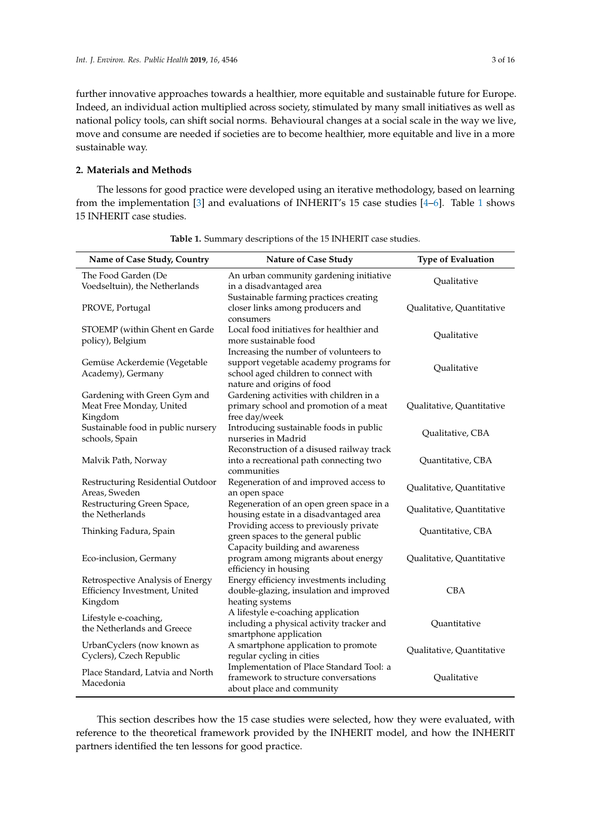further innovative approaches towards a healthier, more equitable and sustainable future for Europe. Indeed, an individual action multiplied across society, stimulated by many small initiatives as well as national policy tools, can shift social norms. Behavioural changes at a social scale in the way we live, move and consume are needed if societies are to become healthier, more equitable and live in a more sustainable way.

# **2. Materials and Methods**

The lessons for good practice were developed using an iterative methodology, based on learning from the implementation [\[3\]](#page-14-1) and evaluations of INHERIT's 15 case studies [\[4–](#page-14-2)[6\]](#page-14-3). Table [1](#page-2-0) shows 15 INHERIT case studies.

<span id="page-2-0"></span>

| Name of Case Study, Country                                                  | <b>Nature of Case Study</b>                                                                                                                            | <b>Type of Evaluation</b> |
|------------------------------------------------------------------------------|--------------------------------------------------------------------------------------------------------------------------------------------------------|---------------------------|
| The Food Garden (De<br>Voedseltuin), the Netherlands                         | An urban community gardening initiative<br>in a disadvantaged area                                                                                     | Qualitative               |
| PROVE, Portugal                                                              | Sustainable farming practices creating<br>closer links among producers and<br>consumers                                                                | Qualitative, Quantitative |
| STOEMP (within Ghent en Garde<br>policy), Belgium                            | Local food initiatives for healthier and<br>more sustainable food                                                                                      | Qualitative               |
| Gemüse Ackerdemie (Vegetable<br>Academy), Germany                            | Increasing the number of volunteers to<br>support vegetable academy programs for<br>school aged children to connect with<br>nature and origins of food | Qualitative               |
| Gardening with Green Gym and<br>Meat Free Monday, United<br>Kingdom          | Gardening activities with children in a<br>primary school and promotion of a meat<br>free day/week                                                     | Qualitative, Quantitative |
| Sustainable food in public nursery<br>schools, Spain                         | Introducing sustainable foods in public<br>nurseries in Madrid                                                                                         | Qualitative, CBA          |
| Malvik Path, Norway                                                          | Reconstruction of a disused railway track<br>into a recreational path connecting two<br>communities                                                    | Quantitative, CBA         |
| Restructuring Residential Outdoor<br>Areas, Sweden                           | Regeneration of and improved access to<br>an open space                                                                                                | Qualitative, Quantitative |
| Restructuring Green Space,<br>the Netherlands                                | Regeneration of an open green space in a<br>housing estate in a disadvantaged area                                                                     | Qualitative, Quantitative |
| Thinking Fadura, Spain                                                       | Providing access to previously private<br>green spaces to the general public                                                                           | Quantitative, CBA         |
| Eco-inclusion, Germany                                                       | Capacity building and awareness<br>program among migrants about energy<br>efficiency in housing                                                        | Qualitative, Quantitative |
| Retrospective Analysis of Energy<br>Efficiency Investment, United<br>Kingdom | Energy efficiency investments including<br>double-glazing, insulation and improved<br>heating systems                                                  | <b>CBA</b>                |
| Lifestyle e-coaching,<br>the Netherlands and Greece                          | A lifestyle e-coaching application<br>including a physical activity tracker and<br>smartphone application                                              | Quantitative              |
| UrbanCyclers (now known as<br>Cyclers), Czech Republic                       | A smartphone application to promote<br>regular cycling in cities                                                                                       | Qualitative, Quantitative |
| Place Standard, Latvia and North<br>Macedonia                                | Implementation of Place Standard Tool: a<br>framework to structure conversations<br>about place and community                                          | Qualitative               |

**Table 1.** Summary descriptions of the 15 INHERIT case studies.

This section describes how the 15 case studies were selected, how they were evaluated, with reference to the theoretical framework provided by the INHERIT model, and how the INHERIT partners identified the ten lessons for good practice.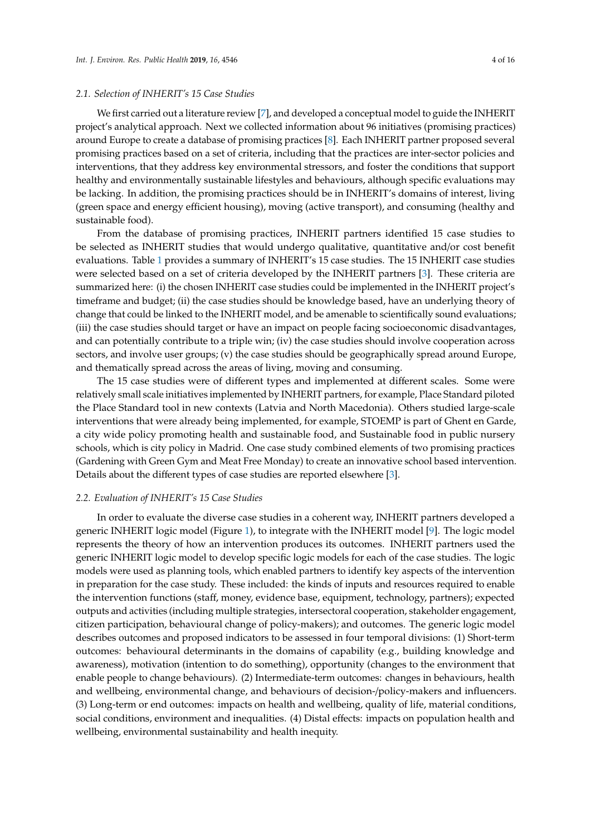## *2.1. Selection of INHERIT's 15 Case Studies*

We first carried out a literature review [\[7\]](#page-14-4), and developed a conceptual model to guide the INHERIT project's analytical approach. Next we collected information about 96 initiatives (promising practices) around Europe to create a database of promising practices [\[8\]](#page-14-5). Each INHERIT partner proposed several promising practices based on a set of criteria, including that the practices are inter-sector policies and interventions, that they address key environmental stressors, and foster the conditions that support healthy and environmentally sustainable lifestyles and behaviours, although specific evaluations may be lacking. In addition, the promising practices should be in INHERIT's domains of interest, living (green space and energy efficient housing), moving (active transport), and consuming (healthy and sustainable food).

From the database of promising practices, INHERIT partners identified 15 case studies to be selected as INHERIT studies that would undergo qualitative, quantitative and/or cost benefit evaluations. Table [1](#page-2-0) provides a summary of INHERIT's 15 case studies. The 15 INHERIT case studies were selected based on a set of criteria developed by the INHERIT partners [\[3\]](#page-14-1). These criteria are summarized here: (i) the chosen INHERIT case studies could be implemented in the INHERIT project's timeframe and budget; (ii) the case studies should be knowledge based, have an underlying theory of change that could be linked to the INHERIT model, and be amenable to scientifically sound evaluations; (iii) the case studies should target or have an impact on people facing socioeconomic disadvantages, and can potentially contribute to a triple win; (iv) the case studies should involve cooperation across sectors, and involve user groups; (v) the case studies should be geographically spread around Europe, and thematically spread across the areas of living, moving and consuming.

The 15 case studies were of different types and implemented at different scales. Some were relatively small scale initiatives implemented by INHERIT partners, for example, Place Standard piloted the Place Standard tool in new contexts (Latvia and North Macedonia). Others studied large-scale interventions that were already being implemented, for example, STOEMP is part of Ghent en Garde, a city wide policy promoting health and sustainable food, and Sustainable food in public nursery schools, which is city policy in Madrid. One case study combined elements of two promising practices (Gardening with Green Gym and Meat Free Monday) to create an innovative school based intervention. Details about the different types of case studies are reported elsewhere [\[3\]](#page-14-1).

## *2.2. Evaluation of INHERIT's 15 Case Studies*

In order to evaluate the diverse case studies in a coherent way, INHERIT partners developed a generic INHERIT logic model (Figure [1\)](#page-4-0), to integrate with the INHERIT model [\[9\]](#page-14-6). The logic model represents the theory of how an intervention produces its outcomes. INHERIT partners used the generic INHERIT logic model to develop specific logic models for each of the case studies. The logic models were used as planning tools, which enabled partners to identify key aspects of the intervention in preparation for the case study. These included: the kinds of inputs and resources required to enable the intervention functions (staff, money, evidence base, equipment, technology, partners); expected outputs and activities (including multiple strategies, intersectoral cooperation, stakeholder engagement, citizen participation, behavioural change of policy-makers); and outcomes. The generic logic model describes outcomes and proposed indicators to be assessed in four temporal divisions: (1) Short-term outcomes: behavioural determinants in the domains of capability (e.g., building knowledge and awareness), motivation (intention to do something), opportunity (changes to the environment that enable people to change behaviours). (2) Intermediate-term outcomes: changes in behaviours, health and wellbeing, environmental change, and behaviours of decision-/policy-makers and influencers. (3) Long-term or end outcomes: impacts on health and wellbeing, quality of life, material conditions, social conditions, environment and inequalities. (4) Distal effects: impacts on population health and wellbeing, environmental sustainability and health inequity.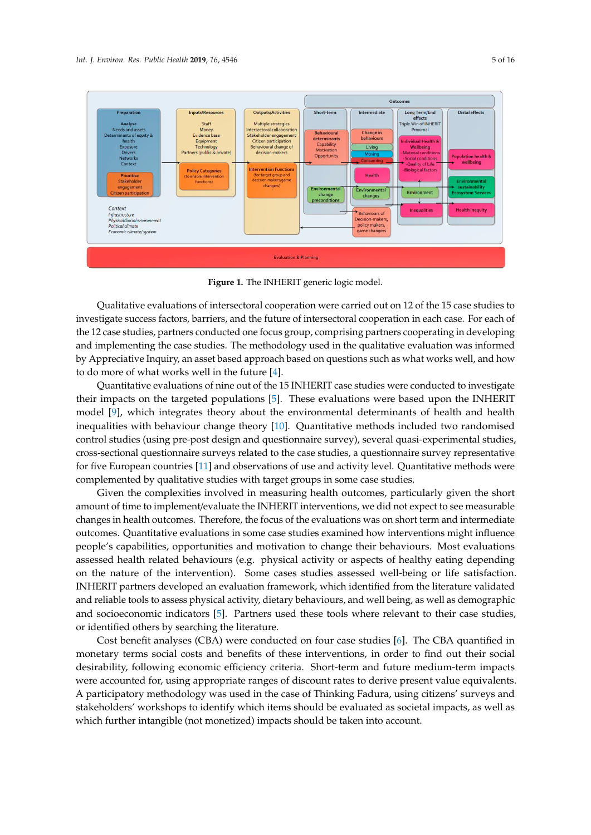<span id="page-4-0"></span>

**Figure 1.** The INHERIT generic logic model.

investigate success factors, barriers, and the future of intersectoral cooperation in each case. For each of the 12 case studies, partners conducted one focus group, comprising partners cooperating in developing and implementing the case studies. The methodology used in the qualitative evaluation was informed by Appreciative Inquiry, an asset based approach based on questions such as what works well, and how to do more of what works well in the future  $[4]$ . Qualitative evaluations of intersectoral cooperation were carried out on 12 of the 15 case studies to

Quantitative evaluations of nine out of the 15 INHERIT case studies were conducted to investigate<br>Quantitative evaluations of nine out of the 15 INHERIT case studies were conducted to investigate  $\alpha$  antitudive evaluations of nine out of the 15 INHERIT case studies were conducted to inversion their impacts on the targeted populations [\[5\]](#page-14-7). These evaluations were based upon the INHERIT model [\[9\]](#page-14-6), which integrates theory about the environmental determinants of health and health inequalities with behaviour change theory  $[10]$ . Quantitative methods included two randomised control studies (using pre-post design and questionnaire survey), several quasi-experimental studies, cross-sectional questionnaire surveys related to the case studies, a questionnaire survey representative for five European countries [\[11\]](#page-14-9) and observations of use and activity level. Quantitative methods were complemented by qualitative studies with target groups in some case studies.

Given the complexities involved in measuring health outcomes, particularly given the short amount of time to implement/evaluate the INHERIT interventions, we did not expect to see measurable changes in health outcomes. Therefore, the focus of the evaluations was on short term and intermediate outcomes. Quantitative evaluations in some case studies examined how interventions might influence people's capabilities, opportunities and motivation to change their behaviours. Most evaluations assessed health related behaviours (e.g. physical activity or aspects of healthy eating depending on the nature of the intervention). Some cases studies assessed well-being or life satisfaction. INHERIT partners developed an evaluation framework, which identified from the literature validated and reliable tools to assess physical activity, dietary behaviours, and well being, as well as demographic  $\alpha$  diable to assess physical and reliable to assess physical activity, diable to assess physical activity, and  $\alpha$  and  $\alpha$  and  $\alpha$  and  $\alpha$  are  $\alpha$  and  $\alpha$  and  $\alpha$  and  $\alpha$  and  $\alpha$  and  $\alpha$  and  $\alpha$  and  $\alpha$  and and socioeconomic indicators [\[5\]](#page-14-7). Partners used these tools where relevant to their case studies,<br>and socioeconomic indicators [5]. Partners used these tools where relevant to their case studies,  $\sigma_{\text{tot}}$  case studies studies, or identified others by searching the literature. or identified others by searching the literature.

Cost benefit analyses (CBA) were conducted on four case studies [6]. The CBA quantified in Cost benefit analyses (CBA) were conducted on four case studies [\[6\]](#page-14-3). The CBA quantified in monetary terms social costs and benefits of these interventions, in order to find out their social monetary terms social costs and benefits of these interventions, in order to find out their social desirability, following economic efficiency criteria. Short-term and future medium-term impacts desirability, following economic efficiency criteria. Short-term and future medium-term impacts were accounted for, using appropriate ranges of discount rates to derive present value equivalents. A participatory methodology was used in the case of Thinking Fadura, using citizens' surveys and stakeholders' workshops to identify which items should be evaluated as societal impacts, as well as which further intangible (not monetized) impacts should be taken into account.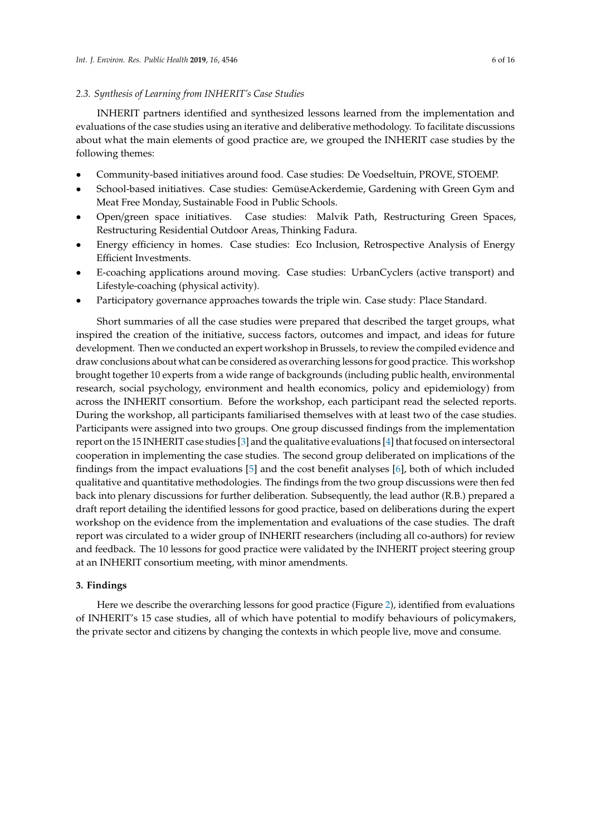# *2.3. Synthesis of Learning from INHERIT's Case Studies*

INHERIT partners identified and synthesized lessons learned from the implementation and evaluations of the case studies using an iterative and deliberative methodology. To facilitate discussions about what the main elements of good practice are, we grouped the INHERIT case studies by the following themes:

- Community-based initiatives around food. Case studies: De Voedseltuin, PROVE, STOEMP.
- School-based initiatives. Case studies: GemüseAckerdemie, Gardening with Green Gym and Meat Free Monday, Sustainable Food in Public Schools.
- Open/green space initiatives. Case studies: Malvik Path, Restructuring Green Spaces, Restructuring Residential Outdoor Areas, Thinking Fadura.
- Energy efficiency in homes. Case studies: Eco Inclusion, Retrospective Analysis of Energy Efficient Investments.
- E-coaching applications around moving. Case studies: UrbanCyclers (active transport) and Lifestyle-coaching (physical activity).
- Participatory governance approaches towards the triple win. Case study: Place Standard.

Short summaries of all the case studies were prepared that described the target groups, what inspired the creation of the initiative, success factors, outcomes and impact, and ideas for future development. Then we conducted an expert workshop in Brussels, to review the compiled evidence and draw conclusions about what can be considered as overarching lessons for good practice. This workshop brought together 10 experts from a wide range of backgrounds (including public health, environmental research, social psychology, environment and health economics, policy and epidemiology) from across the INHERIT consortium. Before the workshop, each participant read the selected reports. During the workshop, all participants familiarised themselves with at least two of the case studies. Participants were assigned into two groups. One group discussed findings from the implementation report on the 15 INHERIT case studies [\[3\]](#page-14-1) and the qualitative evaluations [\[4\]](#page-14-2) that focused on intersectoral cooperation in implementing the case studies. The second group deliberated on implications of the findings from the impact evaluations [\[5\]](#page-14-7) and the cost benefit analyses [\[6\]](#page-14-3), both of which included qualitative and quantitative methodologies. The findings from the two group discussions were then fed back into plenary discussions for further deliberation. Subsequently, the lead author (R.B.) prepared a draft report detailing the identified lessons for good practice, based on deliberations during the expert workshop on the evidence from the implementation and evaluations of the case studies. The draft report was circulated to a wider group of INHERIT researchers (including all co-authors) for review and feedback. The 10 lessons for good practice were validated by the INHERIT project steering group at an INHERIT consortium meeting, with minor amendments.

# **3. Findings**

Here we describe the overarching lessons for good practice (Figure [2\)](#page-6-0), identified from evaluations of INHERIT's 15 case studies, all of which have potential to modify behaviours of policymakers, the private sector and citizens by changing the contexts in which people live, move and consume.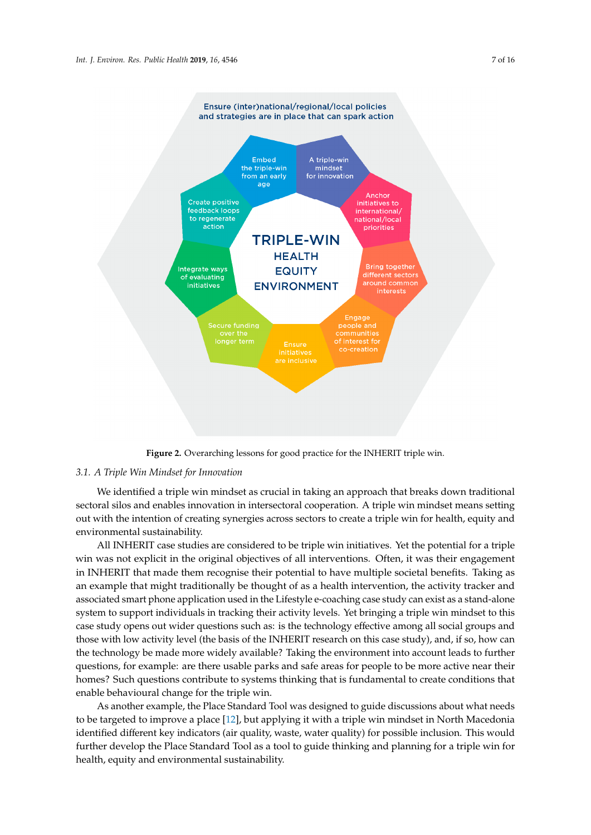<span id="page-6-0"></span>

**Figure 2.** Overarching lessons for good practice for the INHERIT triple win.

# **Figure 2.** Overarching lessons for good practice for the INHERIT triple win. *3.1. A Triple Win Mindset for Innovation*

*3.1. A Triple Win Mindset for Innovation*  We identified a triple win mindset as crucial in taking an approach that breaks down traditional out with the intention of creating synergies across sectors to create a triple win for health, equity and environmental sustainability. The intersectoral cooperation in intersectoral cooperation in the intersectoral cooperation. A triple win mindset means setting win mindset means setting win mindset means setting win mindset sectoral silos and enables innovation in intersectoral cooperation. A triple win mindset means setting

All INHERIT case studies are considered to be triple win initiatives. Yet the potential for a triple win was not explicit in the original objectives of all interventions. Often, it was their engagement in INHERIT that made them recognise their potential to have multiple societal benefits. Taking as an example that might traditionally be thought of as a health intervention, the activity tracker and associated smart phone application used in the Lifestyle e-coaching case study can exist as a stand-alone system to support individuals in tracking their activity levels. Yet bringing a triple win mindset to this case study opens out wider questions such as: is the technology effective among all social groups and those with low activity level (the basis of the INHERIT research on this case study), and, if so, how can the technology be made more widely available? Taking the environment into account leads to further questions, for example: are there usable parks and safe areas for people to be more active near their nomes? Such questions contribute to systems thinking that is fundamental to create conditions that enable behavioural change for the triple win.

As another example, the Place Standard Tool was designed to guide discussions about what needs to be targeted to improve a place [\[12\]](#page-14-10), but applying it with a triple win mindset in North Macedonia identified different key indicators (air quality, waste, water quality) for possible inclusion. This would further develop the Place Standard Tool as a tool to guide thinking and planning for a triple win for health, equity and environmental sustainability.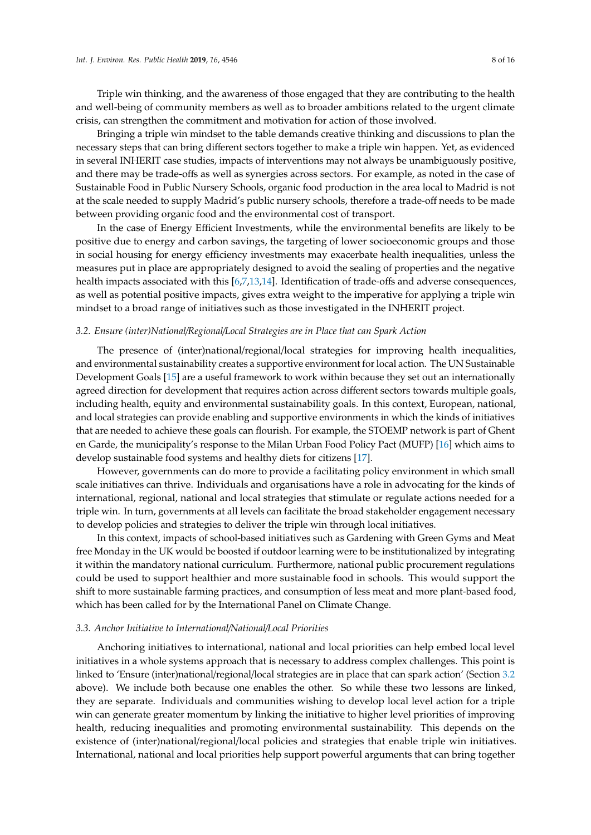Triple win thinking, and the awareness of those engaged that they are contributing to the health and well-being of community members as well as to broader ambitions related to the urgent climate crisis, can strengthen the commitment and motivation for action of those involved.

Bringing a triple win mindset to the table demands creative thinking and discussions to plan the necessary steps that can bring different sectors together to make a triple win happen. Yet, as evidenced in several INHERIT case studies, impacts of interventions may not always be unambiguously positive, and there may be trade-offs as well as synergies across sectors. For example, as noted in the case of Sustainable Food in Public Nursery Schools, organic food production in the area local to Madrid is not at the scale needed to supply Madrid's public nursery schools, therefore a trade-off needs to be made between providing organic food and the environmental cost of transport.

In the case of Energy Efficient Investments, while the environmental benefits are likely to be positive due to energy and carbon savings, the targeting of lower socioeconomic groups and those in social housing for energy efficiency investments may exacerbate health inequalities, unless the measures put in place are appropriately designed to avoid the sealing of properties and the negative health impacts associated with this [\[6](#page-14-3)[,7](#page-14-4)[,13](#page-14-11)[,14\]](#page-14-12). Identification of trade-offs and adverse consequences, as well as potential positive impacts, gives extra weight to the imperative for applying a triple win mindset to a broad range of initiatives such as those investigated in the INHERIT project.

# <span id="page-7-0"></span>*3.2. Ensure (inter)National*/*Regional*/*Local Strategies are in Place that can Spark Action*

The presence of (inter)national/regional/local strategies for improving health inequalities, and environmental sustainability creates a supportive environment for local action. The UN Sustainable Development Goals [\[15\]](#page-14-13) are a useful framework to work within because they set out an internationally agreed direction for development that requires action across different sectors towards multiple goals, including health, equity and environmental sustainability goals. In this context, European, national, and local strategies can provide enabling and supportive environments in which the kinds of initiatives that are needed to achieve these goals can flourish. For example, the STOEMP network is part of Ghent en Garde, the municipality's response to the Milan Urban Food Policy Pact (MUFP) [\[16\]](#page-14-14) which aims to develop sustainable food systems and healthy diets for citizens [\[17\]](#page-14-15).

However, governments can do more to provide a facilitating policy environment in which small scale initiatives can thrive. Individuals and organisations have a role in advocating for the kinds of international, regional, national and local strategies that stimulate or regulate actions needed for a triple win. In turn, governments at all levels can facilitate the broad stakeholder engagement necessary to develop policies and strategies to deliver the triple win through local initiatives.

In this context, impacts of school-based initiatives such as Gardening with Green Gyms and Meat free Monday in the UK would be boosted if outdoor learning were to be institutionalized by integrating it within the mandatory national curriculum. Furthermore, national public procurement regulations could be used to support healthier and more sustainable food in schools. This would support the shift to more sustainable farming practices, and consumption of less meat and more plant-based food, which has been called for by the International Panel on Climate Change.

#### *3.3. Anchor Initiative to International*/*National*/*Local Priorities*

Anchoring initiatives to international, national and local priorities can help embed local level initiatives in a whole systems approach that is necessary to address complex challenges. This point is linked to 'Ensure (inter)national/regional/local strategies are in place that can spark action' (Section [3.2](#page-7-0) above). We include both because one enables the other. So while these two lessons are linked, they are separate. Individuals and communities wishing to develop local level action for a triple win can generate greater momentum by linking the initiative to higher level priorities of improving health, reducing inequalities and promoting environmental sustainability. This depends on the existence of (inter)national/regional/local policies and strategies that enable triple win initiatives. International, national and local priorities help support powerful arguments that can bring together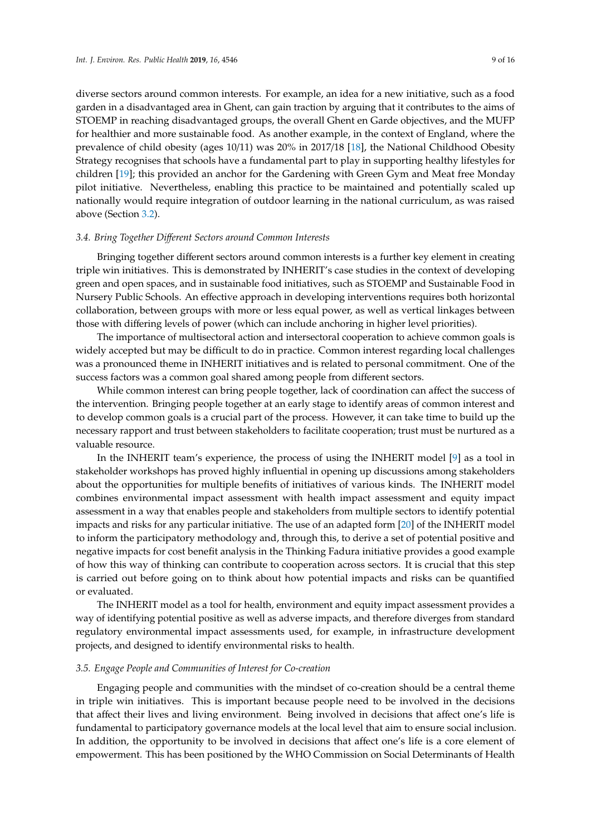diverse sectors around common interests. For example, an idea for a new initiative, such as a food garden in a disadvantaged area in Ghent, can gain traction by arguing that it contributes to the aims of STOEMP in reaching disadvantaged groups, the overall Ghent en Garde objectives, and the MUFP for healthier and more sustainable food. As another example, in the context of England, where the prevalence of child obesity (ages 10/11) was 20% in 2017/18 [\[18\]](#page-14-16), the National Childhood Obesity Strategy recognises that schools have a fundamental part to play in supporting healthy lifestyles for children [\[19\]](#page-14-17); this provided an anchor for the Gardening with Green Gym and Meat free Monday pilot initiative. Nevertheless, enabling this practice to be maintained and potentially scaled up nationally would require integration of outdoor learning in the national curriculum, as was raised above (Section [3.2\)](#page-7-0).

# *3.4. Bring Together Di*ff*erent Sectors around Common Interests*

Bringing together different sectors around common interests is a further key element in creating triple win initiatives. This is demonstrated by INHERIT's case studies in the context of developing green and open spaces, and in sustainable food initiatives, such as STOEMP and Sustainable Food in Nursery Public Schools. An effective approach in developing interventions requires both horizontal collaboration, between groups with more or less equal power, as well as vertical linkages between those with differing levels of power (which can include anchoring in higher level priorities).

The importance of multisectoral action and intersectoral cooperation to achieve common goals is widely accepted but may be difficult to do in practice. Common interest regarding local challenges was a pronounced theme in INHERIT initiatives and is related to personal commitment. One of the success factors was a common goal shared among people from different sectors.

While common interest can bring people together, lack of coordination can affect the success of the intervention. Bringing people together at an early stage to identify areas of common interest and to develop common goals is a crucial part of the process. However, it can take time to build up the necessary rapport and trust between stakeholders to facilitate cooperation; trust must be nurtured as a valuable resource.

In the INHERIT team's experience, the process of using the INHERIT model [\[9\]](#page-14-6) as a tool in stakeholder workshops has proved highly influential in opening up discussions among stakeholders about the opportunities for multiple benefits of initiatives of various kinds. The INHERIT model combines environmental impact assessment with health impact assessment and equity impact assessment in a way that enables people and stakeholders from multiple sectors to identify potential impacts and risks for any particular initiative. The use of an adapted form [\[20\]](#page-14-18) of the INHERIT model to inform the participatory methodology and, through this, to derive a set of potential positive and negative impacts for cost benefit analysis in the Thinking Fadura initiative provides a good example of how this way of thinking can contribute to cooperation across sectors. It is crucial that this step is carried out before going on to think about how potential impacts and risks can be quantified or evaluated.

The INHERIT model as a tool for health, environment and equity impact assessment provides a way of identifying potential positive as well as adverse impacts, and therefore diverges from standard regulatory environmental impact assessments used, for example, in infrastructure development projects, and designed to identify environmental risks to health.

# *3.5. Engage People and Communities of Interest for Co-creation*

Engaging people and communities with the mindset of co-creation should be a central theme in triple win initiatives. This is important because people need to be involved in the decisions that affect their lives and living environment. Being involved in decisions that affect one's life is fundamental to participatory governance models at the local level that aim to ensure social inclusion. In addition, the opportunity to be involved in decisions that affect one's life is a core element of empowerment. This has been positioned by the WHO Commission on Social Determinants of Health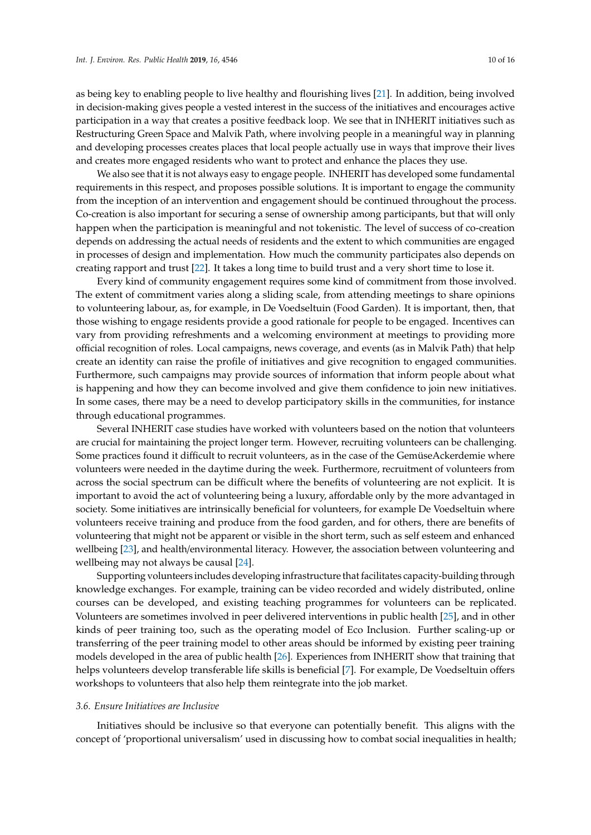as being key to enabling people to live healthy and flourishing lives [\[21\]](#page-15-0). In addition, being involved in decision-making gives people a vested interest in the success of the initiatives and encourages active participation in a way that creates a positive feedback loop. We see that in INHERIT initiatives such as Restructuring Green Space and Malvik Path, where involving people in a meaningful way in planning and developing processes creates places that local people actually use in ways that improve their lives and creates more engaged residents who want to protect and enhance the places they use.

We also see that it is not always easy to engage people. INHERIT has developed some fundamental requirements in this respect, and proposes possible solutions. It is important to engage the community from the inception of an intervention and engagement should be continued throughout the process. Co-creation is also important for securing a sense of ownership among participants, but that will only happen when the participation is meaningful and not tokenistic. The level of success of co-creation depends on addressing the actual needs of residents and the extent to which communities are engaged in processes of design and implementation. How much the community participates also depends on creating rapport and trust [\[22\]](#page-15-1). It takes a long time to build trust and a very short time to lose it.

Every kind of community engagement requires some kind of commitment from those involved. The extent of commitment varies along a sliding scale, from attending meetings to share opinions to volunteering labour, as, for example, in De Voedseltuin (Food Garden). It is important, then, that those wishing to engage residents provide a good rationale for people to be engaged. Incentives can vary from providing refreshments and a welcoming environment at meetings to providing more official recognition of roles. Local campaigns, news coverage, and events (as in Malvik Path) that help create an identity can raise the profile of initiatives and give recognition to engaged communities. Furthermore, such campaigns may provide sources of information that inform people about what is happening and how they can become involved and give them confidence to join new initiatives. In some cases, there may be a need to develop participatory skills in the communities, for instance through educational programmes.

Several INHERIT case studies have worked with volunteers based on the notion that volunteers are crucial for maintaining the project longer term. However, recruiting volunteers can be challenging. Some practices found it difficult to recruit volunteers, as in the case of the GemüseAckerdemie where volunteers were needed in the daytime during the week. Furthermore, recruitment of volunteers from across the social spectrum can be difficult where the benefits of volunteering are not explicit. It is important to avoid the act of volunteering being a luxury, affordable only by the more advantaged in society. Some initiatives are intrinsically beneficial for volunteers, for example De Voedseltuin where volunteers receive training and produce from the food garden, and for others, there are benefits of volunteering that might not be apparent or visible in the short term, such as self esteem and enhanced wellbeing [\[23\]](#page-15-2), and health/environmental literacy. However, the association between volunteering and wellbeing may not always be causal [\[24\]](#page-15-3).

Supporting volunteers includes developing infrastructure that facilitates capacity-building through knowledge exchanges. For example, training can be video recorded and widely distributed, online courses can be developed, and existing teaching programmes for volunteers can be replicated. Volunteers are sometimes involved in peer delivered interventions in public health [\[25\]](#page-15-4), and in other kinds of peer training too, such as the operating model of Eco Inclusion. Further scaling-up or transferring of the peer training model to other areas should be informed by existing peer training models developed in the area of public health [\[26\]](#page-15-5). Experiences from INHERIT show that training that helps volunteers develop transferable life skills is beneficial [\[7\]](#page-14-4). For example, De Voedseltuin offers workshops to volunteers that also help them reintegrate into the job market.

#### *3.6. Ensure Initiatives are Inclusive*

Initiatives should be inclusive so that everyone can potentially benefit. This aligns with the concept of 'proportional universalism' used in discussing how to combat social inequalities in health;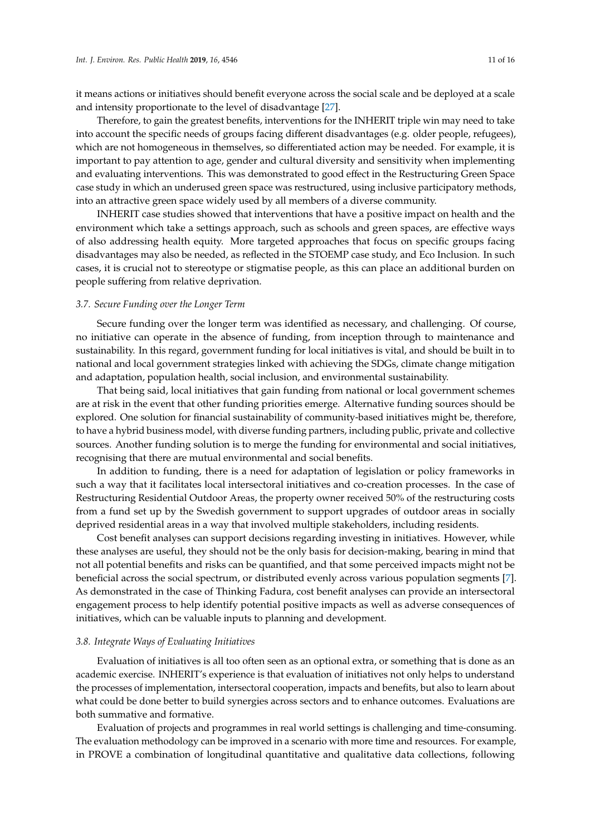it means actions or initiatives should benefit everyone across the social scale and be deployed at a scale and intensity proportionate to the level of disadvantage [\[27\]](#page-15-6).

Therefore, to gain the greatest benefits, interventions for the INHERIT triple win may need to take into account the specific needs of groups facing different disadvantages (e.g. older people, refugees), which are not homogeneous in themselves, so differentiated action may be needed. For example, it is important to pay attention to age, gender and cultural diversity and sensitivity when implementing and evaluating interventions. This was demonstrated to good effect in the Restructuring Green Space case study in which an underused green space was restructured, using inclusive participatory methods, into an attractive green space widely used by all members of a diverse community.

INHERIT case studies showed that interventions that have a positive impact on health and the environment which take a settings approach, such as schools and green spaces, are effective ways of also addressing health equity. More targeted approaches that focus on specific groups facing disadvantages may also be needed, as reflected in the STOEMP case study, and Eco Inclusion. In such cases, it is crucial not to stereotype or stigmatise people, as this can place an additional burden on people suffering from relative deprivation.

### *3.7. Secure Funding over the Longer Term*

Secure funding over the longer term was identified as necessary, and challenging. Of course, no initiative can operate in the absence of funding, from inception through to maintenance and sustainability. In this regard, government funding for local initiatives is vital, and should be built in to national and local government strategies linked with achieving the SDGs, climate change mitigation and adaptation, population health, social inclusion, and environmental sustainability.

That being said, local initiatives that gain funding from national or local government schemes are at risk in the event that other funding priorities emerge. Alternative funding sources should be explored. One solution for financial sustainability of community-based initiatives might be, therefore, to have a hybrid business model, with diverse funding partners, including public, private and collective sources. Another funding solution is to merge the funding for environmental and social initiatives, recognising that there are mutual environmental and social benefits.

In addition to funding, there is a need for adaptation of legislation or policy frameworks in such a way that it facilitates local intersectoral initiatives and co-creation processes. In the case of Restructuring Residential Outdoor Areas, the property owner received 50% of the restructuring costs from a fund set up by the Swedish government to support upgrades of outdoor areas in socially deprived residential areas in a way that involved multiple stakeholders, including residents.

Cost benefit analyses can support decisions regarding investing in initiatives. However, while these analyses are useful, they should not be the only basis for decision-making, bearing in mind that not all potential benefits and risks can be quantified, and that some perceived impacts might not be beneficial across the social spectrum, or distributed evenly across various population segments [\[7\]](#page-14-4). As demonstrated in the case of Thinking Fadura, cost benefit analyses can provide an intersectoral engagement process to help identify potential positive impacts as well as adverse consequences of initiatives, which can be valuable inputs to planning and development.

#### *3.8. Integrate Ways of Evaluating Initiatives*

Evaluation of initiatives is all too often seen as an optional extra, or something that is done as an academic exercise. INHERIT's experience is that evaluation of initiatives not only helps to understand the processes of implementation, intersectoral cooperation, impacts and benefits, but also to learn about what could be done better to build synergies across sectors and to enhance outcomes. Evaluations are both summative and formative.

Evaluation of projects and programmes in real world settings is challenging and time-consuming. The evaluation methodology can be improved in a scenario with more time and resources. For example, in PROVE a combination of longitudinal quantitative and qualitative data collections, following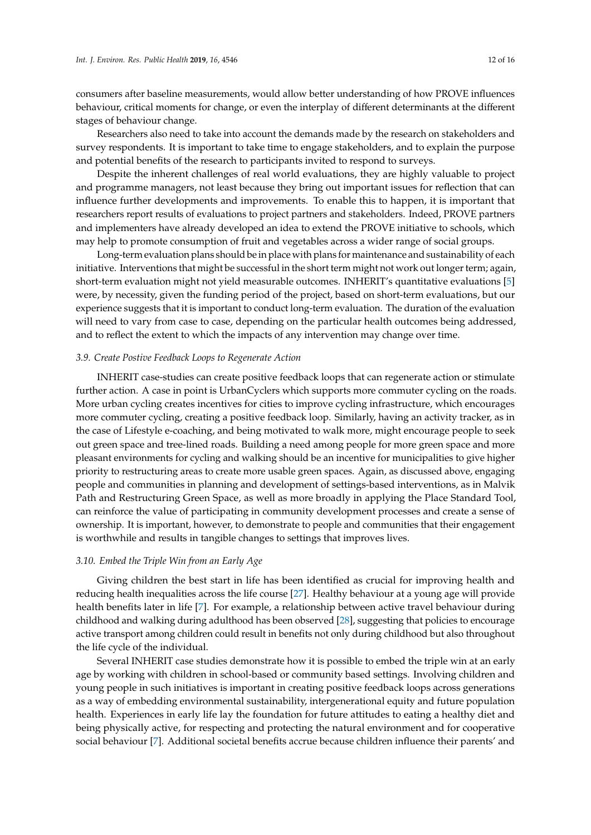consumers after baseline measurements, would allow better understanding of how PROVE influences behaviour, critical moments for change, or even the interplay of different determinants at the different stages of behaviour change.

Researchers also need to take into account the demands made by the research on stakeholders and survey respondents. It is important to take time to engage stakeholders, and to explain the purpose and potential benefits of the research to participants invited to respond to surveys.

Despite the inherent challenges of real world evaluations, they are highly valuable to project and programme managers, not least because they bring out important issues for reflection that can influence further developments and improvements. To enable this to happen, it is important that researchers report results of evaluations to project partners and stakeholders. Indeed, PROVE partners and implementers have already developed an idea to extend the PROVE initiative to schools, which may help to promote consumption of fruit and vegetables across a wider range of social groups.

Long-term evaluation plans should be in place with plans for maintenance and sustainability of each initiative. Interventions that might be successful in the short term might not work out longer term; again, short-term evaluation might not yield measurable outcomes. INHERIT's quantitative evaluations [\[5\]](#page-14-7) were, by necessity, given the funding period of the project, based on short-term evaluations, but our experience suggests that it is important to conduct long-term evaluation. The duration of the evaluation will need to vary from case to case, depending on the particular health outcomes being addressed, and to reflect the extent to which the impacts of any intervention may change over time.

### *3.9. Create Postive Feedback Loops to Regenerate Action*

INHERIT case-studies can create positive feedback loops that can regenerate action or stimulate further action. A case in point is UrbanCyclers which supports more commuter cycling on the roads. More urban cycling creates incentives for cities to improve cycling infrastructure, which encourages more commuter cycling, creating a positive feedback loop. Similarly, having an activity tracker, as in the case of Lifestyle e-coaching, and being motivated to walk more, might encourage people to seek out green space and tree-lined roads. Building a need among people for more green space and more pleasant environments for cycling and walking should be an incentive for municipalities to give higher priority to restructuring areas to create more usable green spaces. Again, as discussed above, engaging people and communities in planning and development of settings-based interventions, as in Malvik Path and Restructuring Green Space, as well as more broadly in applying the Place Standard Tool, can reinforce the value of participating in community development processes and create a sense of ownership. It is important, however, to demonstrate to people and communities that their engagement is worthwhile and results in tangible changes to settings that improves lives.

#### *3.10. Embed the Triple Win from an Early Age*

Giving children the best start in life has been identified as crucial for improving health and reducing health inequalities across the life course [\[27\]](#page-15-6). Healthy behaviour at a young age will provide health benefits later in life [\[7\]](#page-14-4). For example, a relationship between active travel behaviour during childhood and walking during adulthood has been observed [\[28\]](#page-15-7), suggesting that policies to encourage active transport among children could result in benefits not only during childhood but also throughout the life cycle of the individual.

Several INHERIT case studies demonstrate how it is possible to embed the triple win at an early age by working with children in school-based or community based settings. Involving children and young people in such initiatives is important in creating positive feedback loops across generations as a way of embedding environmental sustainability, intergenerational equity and future population health. Experiences in early life lay the foundation for future attitudes to eating a healthy diet and being physically active, for respecting and protecting the natural environment and for cooperative social behaviour [\[7\]](#page-14-4). Additional societal benefits accrue because children influence their parents' and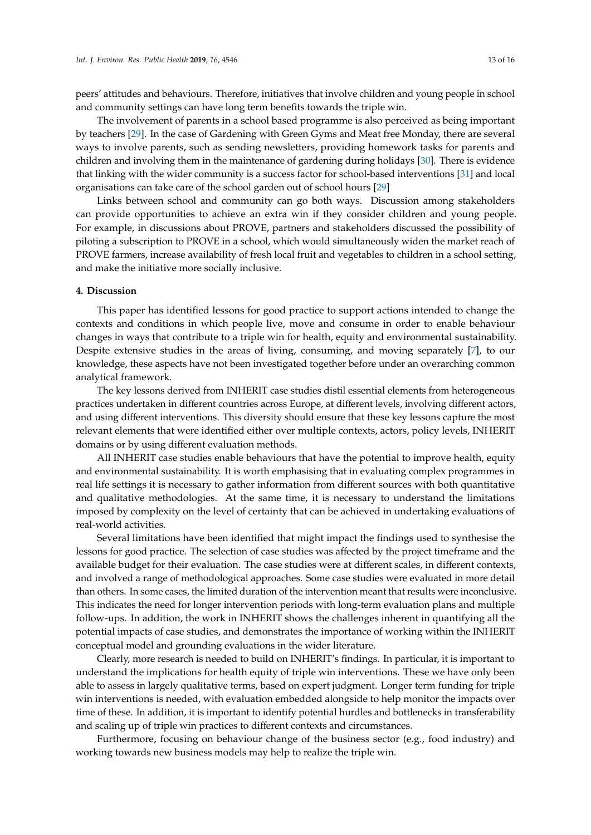peers' attitudes and behaviours. Therefore, initiatives that involve children and young people in school and community settings can have long term benefits towards the triple win.

The involvement of parents in a school based programme is also perceived as being important by teachers [\[29\]](#page-15-8). In the case of Gardening with Green Gyms and Meat free Monday, there are several ways to involve parents, such as sending newsletters, providing homework tasks for parents and children and involving them in the maintenance of gardening during holidays [\[30\]](#page-15-9). There is evidence that linking with the wider community is a success factor for school-based interventions [\[31\]](#page-15-10) and local organisations can take care of the school garden out of school hours [\[29\]](#page-15-8)

Links between school and community can go both ways. Discussion among stakeholders can provide opportunities to achieve an extra win if they consider children and young people. For example, in discussions about PROVE, partners and stakeholders discussed the possibility of piloting a subscription to PROVE in a school, which would simultaneously widen the market reach of PROVE farmers, increase availability of fresh local fruit and vegetables to children in a school setting, and make the initiative more socially inclusive.

#### **4. Discussion**

This paper has identified lessons for good practice to support actions intended to change the contexts and conditions in which people live, move and consume in order to enable behaviour changes in ways that contribute to a triple win for health, equity and environmental sustainability. Despite extensive studies in the areas of living, consuming, and moving separately [\[7\]](#page-14-4), to our knowledge, these aspects have not been investigated together before under an overarching common analytical framework.

The key lessons derived from INHERIT case studies distil essential elements from heterogeneous practices undertaken in different countries across Europe, at different levels, involving different actors, and using different interventions. This diversity should ensure that these key lessons capture the most relevant elements that were identified either over multiple contexts, actors, policy levels, INHERIT domains or by using different evaluation methods.

All INHERIT case studies enable behaviours that have the potential to improve health, equity and environmental sustainability. It is worth emphasising that in evaluating complex programmes in real life settings it is necessary to gather information from different sources with both quantitative and qualitative methodologies. At the same time, it is necessary to understand the limitations imposed by complexity on the level of certainty that can be achieved in undertaking evaluations of real-world activities.

Several limitations have been identified that might impact the findings used to synthesise the lessons for good practice. The selection of case studies was affected by the project timeframe and the available budget for their evaluation. The case studies were at different scales, in different contexts, and involved a range of methodological approaches. Some case studies were evaluated in more detail than others. In some cases, the limited duration of the intervention meant that results were inconclusive. This indicates the need for longer intervention periods with long-term evaluation plans and multiple follow-ups. In addition, the work in INHERIT shows the challenges inherent in quantifying all the potential impacts of case studies, and demonstrates the importance of working within the INHERIT conceptual model and grounding evaluations in the wider literature.

Clearly, more research is needed to build on INHERIT's findings. In particular, it is important to understand the implications for health equity of triple win interventions. These we have only been able to assess in largely qualitative terms, based on expert judgment. Longer term funding for triple win interventions is needed, with evaluation embedded alongside to help monitor the impacts over time of these. In addition, it is important to identify potential hurdles and bottlenecks in transferability and scaling up of triple win practices to different contexts and circumstances.

Furthermore, focusing on behaviour change of the business sector (e.g., food industry) and working towards new business models may help to realize the triple win.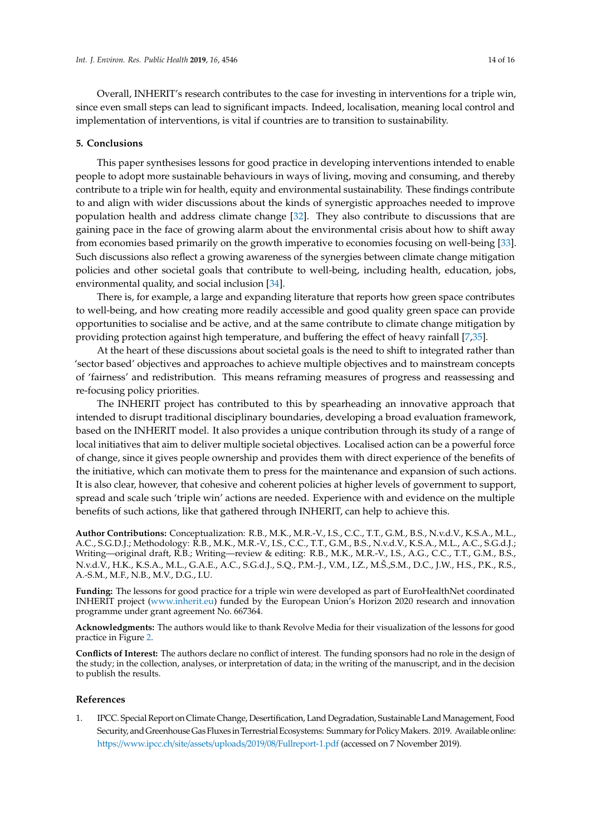Overall, INHERIT's research contributes to the case for investing in interventions for a triple win, since even small steps can lead to significant impacts. Indeed, localisation, meaning local control and implementation of interventions, is vital if countries are to transition to sustainability.

## **5. Conclusions**

This paper synthesises lessons for good practice in developing interventions intended to enable people to adopt more sustainable behaviours in ways of living, moving and consuming, and thereby contribute to a triple win for health, equity and environmental sustainability. These findings contribute to and align with wider discussions about the kinds of synergistic approaches needed to improve population health and address climate change [\[32\]](#page-15-11). They also contribute to discussions that are gaining pace in the face of growing alarm about the environmental crisis about how to shift away from economies based primarily on the growth imperative to economies focusing on well-being [\[33\]](#page-15-12). Such discussions also reflect a growing awareness of the synergies between climate change mitigation policies and other societal goals that contribute to well-being, including health, education, jobs, environmental quality, and social inclusion [\[34\]](#page-15-13).

There is, for example, a large and expanding literature that reports how green space contributes to well-being, and how creating more readily accessible and good quality green space can provide opportunities to socialise and be active, and at the same contribute to climate change mitigation by providing protection against high temperature, and buffering the effect of heavy rainfall [\[7,](#page-14-4)[35\]](#page-15-14).

At the heart of these discussions about societal goals is the need to shift to integrated rather than 'sector based' objectives and approaches to achieve multiple objectives and to mainstream concepts of 'fairness' and redistribution. This means reframing measures of progress and reassessing and re-focusing policy priorities.

The INHERIT project has contributed to this by spearheading an innovative approach that intended to disrupt traditional disciplinary boundaries, developing a broad evaluation framework, based on the INHERIT model. It also provides a unique contribution through its study of a range of local initiatives that aim to deliver multiple societal objectives. Localised action can be a powerful force of change, since it gives people ownership and provides them with direct experience of the benefits of the initiative, which can motivate them to press for the maintenance and expansion of such actions. It is also clear, however, that cohesive and coherent policies at higher levels of government to support, spread and scale such 'triple win' actions are needed. Experience with and evidence on the multiple benefits of such actions, like that gathered through INHERIT, can help to achieve this.

**Author Contributions:** Conceptualization: R.B., M.K., M.R.-V., I.S., C.C., T.T., G.M., B.S., N.v.d.V., K.S.A., M.L., A.C., S.G.D.J.; Methodology: R.B., M.K., M.R.-V., I.S., C.C., T.T., G.M., B.S., N.v.d.V., K.S.A., M.L., A.C., S.G.d.J.; Writing—original draft, R.B.; Writing—review & editing: R.B., M.K., M.R.-V., I.S., A.G., C.C., T.T., G.M., B.S., N.v.d.V., H.K., K.S.A., M.L., G.A.E., A.C., S.G.d.J., S.Q., P.M.-J., V.M., I.Z., M.Š.,S.M., D.C., J.W., H.S., P.K., R.S., A.-S.M., M.F., N.B., M.V., D.G., I.U.

**Funding:** The lessons for good practice for a triple win were developed as part of EuroHealthNet coordinated INHERIT project [\(www.inherit.eu\)](www.inherit.eu) funded by the European Union's Horizon 2020 research and innovation programme under grant agreement No. 667364.

**Acknowledgments:** The authors would like to thank Revolve Media for their visualization of the lessons for good practice in Figure [2.](#page-6-0)

**Conflicts of Interest:** The authors declare no conflict of interest. The funding sponsors had no role in the design of the study; in the collection, analyses, or interpretation of data; in the writing of the manuscript, and in the decision to publish the results.

## **References**

<span id="page-13-0"></span>1. IPCC. Special Report on Climate Change, Desertification, Land Degradation, Sustainable Land Management, Food Security, and Greenhouse Gas Fluxes in Terrestrial Ecosystems: Summary for Policy Makers. 2019. Available online: https://www.ipcc.ch/site/assets/uploads/2019/08/[Fullreport-1.pdf](https://www.ipcc.ch/site/assets/uploads/2019/08/Fullreport-1.pdf) (accessed on 7 November 2019).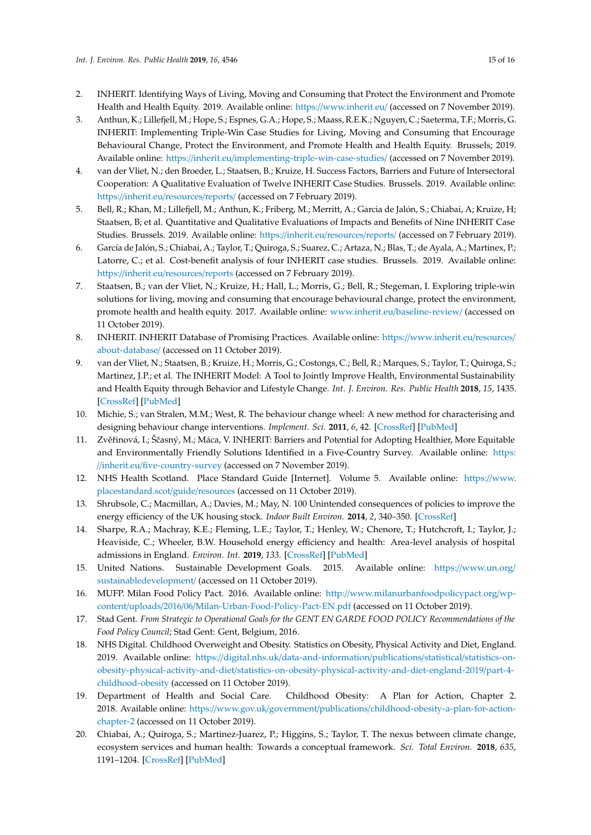- <span id="page-14-0"></span>2. INHERIT. Identifying Ways of Living, Moving and Consuming that Protect the Environment and Promote Health and Health Equity. 2019. Available online: https://[www.inherit.eu](https://www.inherit.eu/)/ (accessed on 7 November 2019).
- <span id="page-14-1"></span>3. Anthun, K.; Lillefjell, M.; Hope, S.; Espnes, G.A.; Hope, S.; Maass, R.E.K.; Nguyen, C.; Saeterma, T.F.; Morris, G. INHERIT: Implementing Triple-Win Case Studies for Living, Moving and Consuming that Encourage Behavioural Change, Protect the Environment, and Promote Health and Health Equity. Brussels; 2019. Available online: https://inherit.eu/[implementing-triple-win-case-studies](https://inherit.eu/implementing-triple-win-case-studies/)/ (accessed on 7 November 2019).
- <span id="page-14-2"></span>4. van der Vliet, N.; den Broeder, L.; Staatsen, B.; Kruize, H. Success Factors, Barriers and Future of Intersectoral Cooperation: A Qualitative Evaluation of Twelve INHERIT Case Studies. Brussels. 2019. Available online: https://[inherit.eu](https://inherit.eu/resources/reports/)/resources/reports/ (accessed on 7 February 2019).
- <span id="page-14-7"></span>5. Bell, R.; Khan, M.; Lillefjell, M.; Anthun, K.; Friberg, M.; Merritt, A.; Garcia de Jalón, S.; Chiabai, A; Kruize, H; Staatsen, B; et al. Quantitative and Qualitative Evaluations of Impacts and Benefits of Nine INHERIT Case Studies. Brussels. 2019. Available online: https://[inherit.eu](https://inherit.eu/resources/reports/)/resources/reports/ (accessed on 7 February 2019).
- <span id="page-14-3"></span>6. García de Jalón, S.; Chiabai, A.; Taylor, T.; Quiroga, S.; Suarez, C.; Artaza, N.; Blas, T.; de Ayala, A.; Martinex, P.; Latorre, C.; et al. Cost-benefit analysis of four INHERIT case studies. Brussels. 2019. Available online: https://[inherit.eu](https://inherit.eu/resources/reports)/resources/reports (accessed on 7 February 2019).
- <span id="page-14-4"></span>7. Staatsen, B.; van der Vliet, N.; Kruize, H.; Hall, L.; Morris, G.; Bell, R.; Stegeman, I. Exploring triple-win solutions for living, moving and consuming that encourage behavioural change, protect the environment, promote health and health equity. 2017. Available online: www.inherit.eu/[baseline-review](www.inherit.eu/baseline-review/)/ (accessed on 11 October 2019).
- <span id="page-14-5"></span>8. INHERIT. INHERIT Database of Promising Practices. Available online: https://[www.inherit.eu](https://www.inherit.eu/resources/about-database/)/resources/ [about-database](https://www.inherit.eu/resources/about-database/)/ (accessed on 11 October 2019).
- <span id="page-14-6"></span>9. van der Vliet, N.; Staatsen, B.; Kruize, H.; Morris, G.; Costongs, C.; Bell, R.; Marques, S.; Taylor, T.; Quiroga, S.; Martinez, J.P.; et al. The INHERIT Model: A Tool to Jointly Improve Health, Environmental Sustainability and Health Equity through Behavior and Lifestyle Change. *Int. J. Environ. Res. Public Health* **2018**, *15*, 1435. [\[CrossRef\]](http://dx.doi.org/10.3390/ijerph15071435) [\[PubMed\]](http://www.ncbi.nlm.nih.gov/pubmed/29986493)
- <span id="page-14-8"></span>10. Michie, S.; van Stralen, M.M.; West, R. The behaviour change wheel: A new method for characterising and designing behaviour change interventions. *Implement. Sci.* **2011**, *6*, 42. [\[CrossRef\]](http://dx.doi.org/10.1186/1748-5908-6-42) [\[PubMed\]](http://www.ncbi.nlm.nih.gov/pubmed/21513547)
- <span id="page-14-9"></span>11. Zvěřinová, I.; Ščasný, M.; Máca, V. INHERIT: Barriers and Potential for Adopting Healthier, More Equitable and Environmentally Friendly Solutions Identified in a Five-Country Survey. Available online: [https:](https://inherit.eu/five-country-survey) //inherit.eu/[five-country-survey](https://inherit.eu/five-country-survey) (accessed on 7 November 2019).
- <span id="page-14-10"></span>12. NHS Health Scotland. Place Standard Guide [Internet]. Volume 5. Available online: https://[www.](https://www.placestandard.scot/guide/resources) [placestandard.scot](https://www.placestandard.scot/guide/resources)/guide/resources (accessed on 11 October 2019).
- <span id="page-14-11"></span>13. Shrubsole, C.; Macmillan, A.; Davies, M.; May, N. 100 Unintended consequences of policies to improve the energy efficiency of the UK housing stock. *Indoor Built Environ.* **2014**, *2*, 340–350. [\[CrossRef\]](http://dx.doi.org/10.1177/1420326X14524586)
- <span id="page-14-12"></span>14. Sharpe, R.A.; Machray, K.E.; Fleming, L.E.; Taylor, T.; Henley, W.; Chenore, T.; Hutchcroft, I.; Taylor, J.; Heaviside, C.; Wheeler, B.W. Household energy efficiency and health: Area-level analysis of hospital admissions in England. *Environ. Int.* **2019**, *133*. [\[CrossRef\]](http://dx.doi.org/10.1016/j.envint.2019.105164) [\[PubMed\]](http://www.ncbi.nlm.nih.gov/pubmed/31518939)
- <span id="page-14-13"></span>15. United Nations. Sustainable Development Goals. 2015. Available online: https://[www.un.org](https://www.un.org/sustainabledevelopment/)/ [sustainabledevelopment](https://www.un.org/sustainabledevelopment/)/ (accessed on 11 October 2019).
- <span id="page-14-14"></span>16. MUFP. Milan Food Policy Pact. 2016. Available online: http://[www.milanurbanfoodpolicypact.org](http://www.milanurbanfoodpolicypact.org/wp-content/uploads/2016/06/Milan-Urban-Food-Policy-Pact-EN.pdf)/wpcontent/uploads/2016/06/[Milan-Urban-Food-Policy-Pact-EN.pdf](http://www.milanurbanfoodpolicypact.org/wp-content/uploads/2016/06/Milan-Urban-Food-Policy-Pact-EN.pdf) (accessed on 11 October 2019).
- <span id="page-14-15"></span>17. Stad Gent. *From Strategic to Operational Goals for the GENT EN GARDE FOOD POLICY Recommendations of the Food Policy Council*; Stad Gent: Gent, Belgium, 2016.
- <span id="page-14-16"></span>18. NHS Digital. Childhood Overweight and Obesity. Statistics on Obesity, Physical Activity and Diet, England. 2019. Available online: https://digital.nhs.uk/[data-and-information](https://digital.nhs.uk/data-and-information/publications/statistical/statistics-on-obesity-physical-activity-and-diet/statistics-on-obesity-physical-activity-and-diet-england-2019/part-4-childhood-obesity)/publications/statistical/statistics-onobesity-physical-activity-and-diet/[statistics-on-obesity-physical-activity-and-diet-england-2019](https://digital.nhs.uk/data-and-information/publications/statistical/statistics-on-obesity-physical-activity-and-diet/statistics-on-obesity-physical-activity-and-diet-england-2019/part-4-childhood-obesity)/part-4 [childhood-obesity](https://digital.nhs.uk/data-and-information/publications/statistical/statistics-on-obesity-physical-activity-and-diet/statistics-on-obesity-physical-activity-and-diet-england-2019/part-4-childhood-obesity) (accessed on 11 October 2019).
- <span id="page-14-17"></span>19. Department of Health and Social Care. Childhood Obesity: A Plan for Action, Chapter 2. 2018. Available online: https://www.gov.uk/government/publications/[childhood-obesity-a-plan-for-action](https://www.gov.uk/government/publications/childhood-obesity-a-plan-for-action-chapter-2)[chapter-2](https://www.gov.uk/government/publications/childhood-obesity-a-plan-for-action-chapter-2) (accessed on 11 October 2019).
- <span id="page-14-18"></span>20. Chiabai, A.; Quiroga, S.; Martinez-Juarez, P.; Higgins, S.; Taylor, T. The nexus between climate change, ecosystem services and human health: Towards a conceptual framework. *Sci. Total Environ.* **2018**, *635*, 1191–1204. [\[CrossRef\]](http://dx.doi.org/10.1016/j.scitotenv.2018.03.323) [\[PubMed\]](http://www.ncbi.nlm.nih.gov/pubmed/29710574)